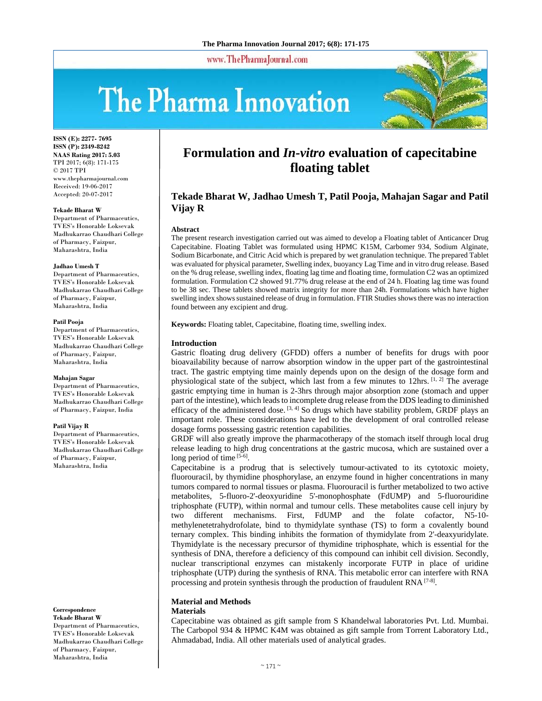www.ThePharmaJournal.com

# The Pharma Innovation



**ISSN (E): 2277- 7695 ISSN (P): 2349-8242 NAAS Rating 2017: 5.03** TPI 2017; 6(8): 171-175 © 2017 TPI www.thepharmajournal.com Received: 19-06-2017 Accepted: 20-07-2017

#### **Tekade Bharat W**

Department of Pharmaceutics. TVES's Honorable Loksevak Madhukarrao Chaudhari College of Pharmacy, Faizpur, Maharashtra, India

#### **Jadhao Umesh T**

Department of Pharmaceutics, TVES's Honorable Loksevak Madhukarrao Chaudhari College of Pharmacy, Faizpur, Maharashtra, India

#### **Patil Pooja**

Department of Pharmaceutics, TVES's Honorable Loksevak Madhukarrao Chaudhari College of Pharmacy, Faizpur, Maharashtra, India

#### **Mahajan Sagar**

Department of Pharmaceutics, TVES's Honorable Loksevak Madhukarrao Chaudhari College of Pharmacy, Faizpur, India

#### **Patil Vijay R**

Department of Pharmaceutics, TVES's Honorable Loksevak Madhukarrao Chaudhari College of Pharmacy, Faizpur, Maharashtra, India

#### **Correspondence Tekade Bharat W**

Department of Pharmaceutics, TVES's Honorable Loksevak Madhukarrao Chaudhari College of Pharmacy, Faizpur, Maharashtra, India

# **Formulation and** *In-vitro* **evaluation of capecitabine floating tablet**

## **Tekade Bharat W, Jadhao Umesh T, Patil Pooja, Mahajan Sagar and Patil Vijay R**

#### **Abstract**

The present research investigation carried out was aimed to develop a Floating tablet of Anticancer Drug Capecitabine. Floating Tablet was formulated using HPMC K15M, Carbomer 934, Sodium Alginate, Sodium Bicarbonate, and Citric Acid which is prepared by wet granulation technique. The prepared Tablet was evaluated for physical parameter, Swelling index, buoyancy Lag Time and in vitro drug release. Based on the % drug release, swelling index, floating lag time and floating time, formulation C2 was an optimized formulation. Formulation C2 showed 91.77% drug release at the end of 24 h. Floating lag time was found to be 38 sec. These tablets showed matrix integrity for more than 24h. Formulations which have higher swelling index shows sustained release of drug in formulation. FTIR Studies shows there was no interaction found between any excipient and drug.

**Keywords:** Floating tablet, Capecitabine, floating time, swelling index.

#### **Introduction**

Gastric floating drug delivery (GFDD) offers a number of benefits for drugs with poor bioavailability because of narrow absorption window in the upper part of the gastrointestinal tract. The gastric emptying time mainly depends upon on the design of the dosage form and physiological state of the subject, which last from a few minutes to 12hrs.  $[1, 2]$  The average gastric emptying time in human is 2-3hrs through major absorption zone (stomach and upper part of the intestine), which leads to incomplete drug release from the DDS leading to diminished efficacy of the administered dose.  $[3, 4]$  So drugs which have stability problem, GRDF plays an important role. These considerations have led to the development of oral controlled release dosage forms possessing gastric retention capabilities.

GRDF will also greatly improve the pharmacotherapy of the stomach itself through local drug release leading to high drug concentrations at the gastric mucosa, which are sustained over a long period of time  $[5-6]$ .

Capecitabine is a prodrug that is selectively tumour-activated to its cytotoxic moiety, fluorouracil, by thymidine phosphorylase, an enzyme found in higher concentrations in many tumors compared to normal tissues or plasma. Fluorouracil is further metabolized to two active metabolites, 5-fluoro-2'-deoxyuridine 5'-monophosphate (FdUMP) and 5-fluorouridine triphosphate (FUTP), within normal and tumour cells. These metabolites cause cell injury by two different mechanisms. First, FdUMP and the folate cofactor, N5-10 methylenetetrahydrofolate, bind to thymidylate synthase (TS) to form a covalently bound ternary complex. This binding inhibits the formation of thymidylate from 2'-deaxyuridylate. Thymidylate is the necessary precursor of thymidine triphosphate, which is essential for the synthesis of DNA, therefore a deficiency of this compound can inhibit cell division. Secondly, nuclear transcriptional enzymes can mistakenly incorporate FUTP in place of uridine triphosphate (UTP) during the synthesis of RNA. This metabolic error can interfere with RNA processing and protein synthesis through the production of fraudulent RNA [7-8].

## **Material and Methods**

#### **Materials**

Capecitabine was obtained as gift sample from S Khandelwal laboratories Pvt. Ltd. Mumbai. The Carbopol 934 & HPMC K4M was obtained as gift sample from Torrent Laboratory Ltd., Ahmadabad, India. All other materials used of analytical grades.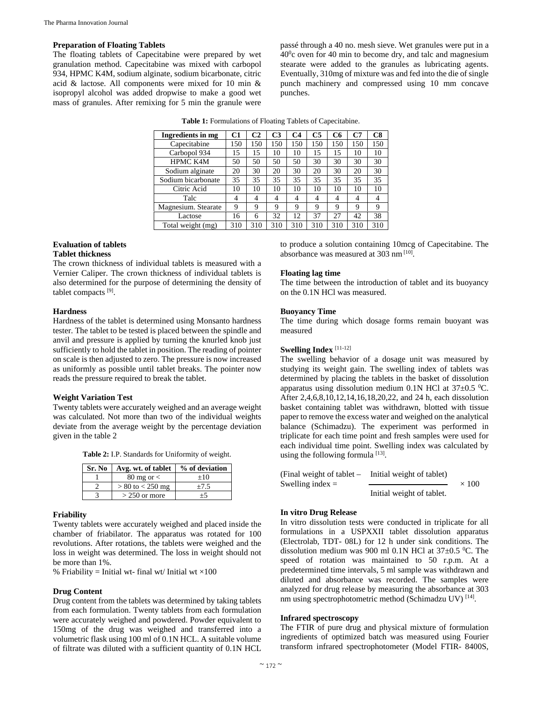#### **Preparation of Floating Tablets**

The floating tablets of Capecitabine were prepared by wet granulation method. Capecitabine was mixed with carbopol 934, HPMC K4M, sodium alginate, sodium bicarbonate, citric acid & lactose. All components were mixed for 10 min & isopropyl alcohol was added dropwise to make a good wet mass of granules. After remixing for 5 min the granule were passé through a 40 no. mesh sieve. Wet granules were put in a  $40^{\circ}$ c oven for 40 min to become dry, and talc and magnesium stearate were added to the granules as lubricating agents. Eventually, 310mg of mixture was and fed into the die of single punch machinery and compressed using 10 mm concave punches.

| Ingredients in mg   | C1  | C2  | C <sub>3</sub> | C <sub>4</sub> | <b>C5</b> | C <sub>6</sub> | C7  | C8  |
|---------------------|-----|-----|----------------|----------------|-----------|----------------|-----|-----|
| Capecitabine        | 150 | 150 | 150            | 150            | 150       | 150            | 150 | 150 |
| Carbopol 934        | 15  | 15  | 10             | 10             | 15        | 15             | 10  | 10  |
| HPMC K4M            | 50  | 50  | 50             | 50             | 30        | 30             | 30  | 30  |
| Sodium alginate     | 20  | 30  | 20             | 30             | 20        | 30             | 20  | 30  |
| Sodium bicarbonate  | 35  | 35  | 35             | 35             | 35        | 35             | 35  | 35  |
| Citric Acid         | 10  | 10  | 10             | 10             | 10        | 10             | 10  | 10  |
| Talc                | 4   | 4   | $\overline{4}$ | 4              | 4         | 4              | 4   | 4   |
| Magnesium. Stearate | 9   | 9   | 9              | 9              | 9         | 9              | 9   | 9   |
| Lactose             | 16  | 6   | 32             | 12             | 37        | 27             | 42  | 38  |
| Total weight (mg)   | 310 | 310 | 310            | 310            | 310       | 310            | 310 | 310 |
|                     |     |     |                |                |           |                |     |     |

**Table 1:** Formulations of Floating Tablets of Capecitabine.

# **Evaluation of tablets**

### **Tablet thickness**

The crown thickness of individual tablets is measured with a Vernier Caliper. The crown thickness of individual tablets is also determined for the purpose of determining the density of tablet compacts [9].

#### **Hardness**

Hardness of the tablet is determined using Monsanto hardness tester. The tablet to be tested is placed between the spindle and anvil and pressure is applied by turning the knurled knob just sufficiently to hold the tablet in position. The reading of pointer on scale is then adjusted to zero. The pressure is now increased as uniformly as possible until tablet breaks. The pointer now reads the pressure required to break the tablet.

#### **Weight Variation Test**

Twenty tablets were accurately weighed and an average weight was calculated. Not more than two of the individual weights deviate from the average weight by the percentage deviation given in the table 2

**Table 2:** I.P. Standards for Uniformity of weight.

| Sr. No | Avg. wt. of tablet   | % of deviation |
|--------|----------------------|----------------|
|        | $80 \text{ mg or} <$ | $+10$          |
|        | $> 80$ to $< 250$ mg | $+7.5$         |
|        | $>$ 250 or more      | $+$            |

#### **Friability**

Twenty tablets were accurately weighed and placed inside the chamber of friabilator. The apparatus was rotated for 100 revolutions. After rotations, the tablets were weighed and the loss in weight was determined. The loss in weight should not be more than 1%.

% Friability = Initial wt- final wt/ Initial wt  $\times 100$ 

#### **Drug Content**

Drug content from the tablets was determined by taking tablets from each formulation. Twenty tablets from each formulation were accurately weighed and powdered. Powder equivalent to 150mg of the drug was weighed and transferred into a volumetric flask using 100 ml of 0.1N HCL. A suitable volume of filtrate was diluted with a sufficient quantity of 0.1N HCL

to produce a solution containing 10mcg of Capecitabine. The absorbance was measured at 303 nm [10].

#### **Floating lag time**

The time between the introduction of tablet and its buoyancy on the 0.1N HCl was measured.

#### **Buoyancy Time**

The time during which dosage forms remain buoyant was measured

#### **Swelling Index** [11-12]

The swelling behavior of a dosage unit was measured by studying its weight gain. The swelling index of tablets was determined by placing the tablets in the basket of dissolution apparatus using dissolution medium  $0.1N$  HCl at  $37\pm0.5$  °C. After 2,4,6,8,10,12,14,16,18,20,22, and 24 h, each dissolution basket containing tablet was withdrawn, blotted with tissue paper to remove the excess water and weighed on the analytical balance (Schimadzu). The experiment was performed in triplicate for each time point and fresh samples were used for each individual time point. Swelling index was calculated by using the following formula [13].

| (Final weight of tablet – | Initial weight of tablet) |              |
|---------------------------|---------------------------|--------------|
| Swelling index $=$        |                           | $\times 100$ |
|                           | Initial weight of tablet. |              |

#### **In vitro Drug Release**

In vitro dissolution tests were conducted in triplicate for all formulations in a USPXXII tablet dissolution apparatus (Electrolab, TDT- 08L) for 12 h under sink conditions. The dissolution medium was 900 ml 0.1N HCl at  $37\pm0.5$  °C. The speed of rotation was maintained to 50 r.p.m. At a predetermined time intervals, 5 ml sample was withdrawn and diluted and absorbance was recorded. The samples were analyzed for drug release by measuring the absorbance at 303 nm using spectrophotometric method (Schimadzu UV) [14].

#### **Infrared spectroscopy**

The FTIR of pure drug and physical mixture of formulation ingredients of optimized batch was measured using Fourier transform infrared spectrophotometer (Model FTIR- 8400S,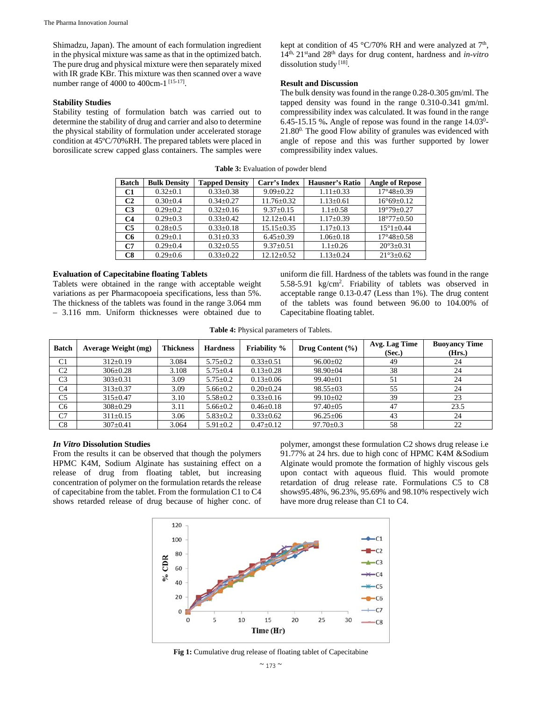Shimadzu, Japan). The amount of each formulation ingredient in the physical mixture was same as that in the optimized batch. The pure drug and physical mixture were then separately mixed with IR grade KBr. This mixture was then scanned over a wave number range of 4000 to 400cm-1 [15-17].

#### **Stability Studies**

Stability testing of formulation batch was carried out to determine the stability of drug and carrier and also to determine the physical stability of formulation under accelerated storage condition at 45ºC/70%RH. The prepared tablets were placed in borosilicate screw capped glass containers. The samples were kept at condition of 45 °C/70% RH and were analyzed at  $7<sup>th</sup>$ , 14th, 21stand 28th days for drug content, hardness and *in-vitro* dissolution study [18].

#### **Result and Discussion**

The bulk density was found in the range 0.28-0.305 gm/ml. The tapped density was found in the range 0.310-0.341 gm/ml. compressibility index was calculated. It was found in the range  $6.45-15.15$  %. Angle of repose was found in the range  $14.03<sup>0</sup>$ - $21.80<sup>0</sup>$ . The good Flow ability of granules was evidenced with angle of repose and this was further supported by lower compressibility index values.

| <b>Batch</b>   | <b>Bulk Density</b> | <b>Tapped Density</b> | Carr's Index     | Hausner's Ratio | <b>Angle of Repose</b>  |
|----------------|---------------------|-----------------------|------------------|-----------------|-------------------------|
| C1             | $0.32 \pm 0.1$      | $0.33 \pm 0.38$       | $9.09 \pm 0.22$  | $1.11 \pm 0.33$ | $17^{\circ}48 \pm 0.39$ |
| C <sub>2</sub> | $0.30 + 0.4$        | $0.34 + 0.27$         | $11.76 + 0.32$   | $1.13 \pm 0.61$ | $16^{\circ}69 \pm 0.12$ |
| C <sub>3</sub> | $0.29 + 0.2$        | $0.32 + 0.16$         | $9.37 \pm 0.15$  | $1.1 \pm 0.58$  | $19^{\circ}79 \pm 0.27$ |
| C <sub>4</sub> | $0.29 + 0.3$        | $0.33 + 0.42$         | $12.12 + 0.41$   | $1.17 \pm 0.39$ | $18^{\circ}77 \pm 0.50$ |
| C <sub>5</sub> | $0.28 + 0.5$        | $0.33 + 0.18$         | $15.15 \pm 0.35$ | $1.17 \pm 0.13$ | $15^{\circ}1 + 0.44$    |
| C6             | $0.29 + 0.1$        | $0.31 + 0.33$         | $6.45 \pm 0.39$  | $1.06 \pm 0.18$ | $17^{\circ}48 \pm 0.58$ |
| C7             | $0.29 \pm 0.4$      | $0.32 + 0.55$         | $9.37 \pm 0.51$  | $1.1 \pm 0.26$  | $20^{\circ}3 \pm 0.31$  |
| C8             | $0.29 \pm 0.6$      | $0.33+0.22$           | $12.12 + 0.52$   | $1.13 \pm 0.24$ | $21^{\circ}3 \pm 0.62$  |

**Table 3:** Evaluation of powder blend

#### **Evaluation of Capecitabine floating Tablets**

Tablets were obtained in the range with acceptable weight variations as per Pharmacopoeia specifications, less than 5%. The thickness of the tablets was found in the range 3.064 mm – 3.116 mm. Uniform thicknesses were obtained due to uniform die fill. Hardness of the tablets was found in the range 5.58-5.91 kg/cm2 . Friability of tablets was observed in acceptable range 0.13-0.47 (Less than 1%). The drug content of the tablets was found between 96.00 to 104.00% of Capecitabine floating tablet.

**Table 4:** Physical parameters of Tablets.

| <b>Batch</b>   | <b>Average Weight (mg)</b> | <b>Thickness</b> | <b>Hardness</b> | <b>Friability</b> % | Drug Content $(\% )$ | Avg. Lag Time<br>(Sec.) | <b>Buoyancy Time</b><br>(Hrs.) |
|----------------|----------------------------|------------------|-----------------|---------------------|----------------------|-------------------------|--------------------------------|
| C <sub>1</sub> | $312 \pm 0.19$             | 3.084            | $5.75 \pm 0.2$  | $0.33 \pm 0.51$     | $96.00 \pm 02$       | 49                      | 24                             |
| C <sub>2</sub> | $306 \pm 0.28$             | 3.108            | $5.75 \pm 0.4$  | $0.13 \pm 0.28$     | $98.90 \pm 04$       | 38                      | 24                             |
| C <sub>3</sub> | $303 \pm 0.31$             | 3.09             | $5.75 \pm 0.2$  | $0.13 \pm 0.06$     | $99.40 \pm 01$       | 51                      | 24                             |
| C <sub>4</sub> | $313 \pm 0.37$             | 3.09             | $5.66 \pm 0.2$  | $0.20 \pm 0.24$     | $98.55 \pm 03$       | 55                      | 24                             |
| C <sub>5</sub> | $315 \pm 0.47$             | 3.10             | $5.58 \pm 0.2$  | $0.33 \pm 0.16$     | $99.10 \pm 02$       | 39                      | 23                             |
| C6             | $308 \pm 0.29$             | 3.11             | $5.66 \pm 0.2$  | $0.46 \pm 0.18$     | $97.40 \pm 0.5$      | 47                      | 23.5                           |
| C7             | $311 \pm 0.15$             | 3.06             | $5.83 \pm 0.2$  | $0.33 \pm 0.62$     | $96.25 \pm 06$       | 43                      | 24                             |
| C8             | $307 \pm 0.41$             | 3.064            | $5.91 \pm 0.2$  | $0.47 \pm 0.12$     | $97.70 \pm 0.3$      | 58                      | 22                             |

#### *In Vitro* **Dissolution Studies**

From the results it can be observed that though the polymers HPMC K4M, Sodium Alginate has sustaining effect on a release of drug from floating tablet, but increasing concentration of polymer on the formulation retards the release of capecitabine from the tablet. From the formulation C1 to C4 shows retarded release of drug because of higher conc. of polymer, amongst these formulation C2 shows drug release i.e 91.77% at 24 hrs. due to high conc of HPMC K4M &Sodium Alginate would promote the formation of highly viscous gels upon contact with aqueous fluid. This would promote retardation of drug release rate. Formulations C5 to C8 shows95.48%, 96.23%, 95.69% and 98.10% respectively wich have more drug release than C1 to C4.



Fig 1: Cumulative drug release of floating tablet of Capecitabine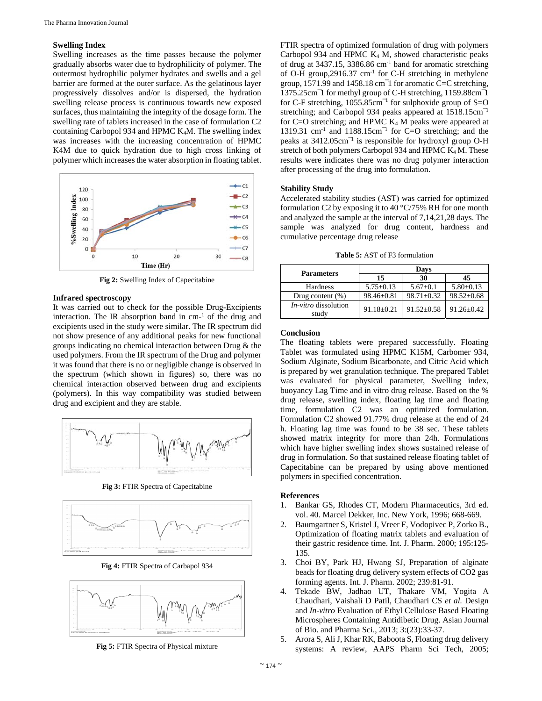#### **Swelling Index**

Swelling increases as the time passes because the polymer gradually absorbs water due to hydrophilicity of polymer. The outermost hydrophilic polymer hydrates and swells and a gel barrier are formed at the outer surface. As the gelatinous layer progressively dissolves and/or is dispersed, the hydration swelling release process is continuous towards new exposed surfaces, thus maintaining the integrity of the dosage form. The swelling rate of tablets increased in the case of formulation C2 containing Carbopol 934 and HPMC K4M. The swelling index was increases with the increasing concentration of HPMC K4M due to quick hydration due to high cross linking of polymer which increases the water absorption in floating tablet.



**Fig 2:** Swelling Index of Capecitabine

#### **Infrared spectroscopy**

It was carried out to check for the possible Drug-Excipients interaction. The IR absorption band in  $cm<sup>-1</sup>$  of the drug and excipients used in the study were similar. The IR spectrum did not show presence of any additional peaks for new functional groups indicating no chemical interaction between Drug & the used polymers. From the IR spectrum of the Drug and polymer it was found that there is no or negligible change is observed in the spectrum (which shown in figures) so, there was no chemical interaction observed between drug and excipients (polymers). In this way compatibility was studied between drug and excipient and they are stable.



**Fig 3:** FTIR Spectra of Capecitabine



**Fig 4:** FTIR Spectra of Carbapol 934



**Fig 5:** FTIR Spectra of Physical mixture

FTIR spectra of optimized formulation of drug with polymers Carbopol 934 and HPMC  $K_4$  M, showed characteristic peaks of drug at  $3437.15$ ,  $3386.86$  cm<sup>-1</sup> band for aromatic stretching of O-H group,2916.37 cm-1 for C-H stretching in methylene group, 1571.99 and 1458.18 cm¯1 for aromatic C=C stretching, 1375.25cm¯1 for methyl group of C-H stretching, 1159.88cm¯1 for C-F stretching,  $1055.85 \text{cm}^{-1}$  for sulphoxide group of S=O stretching; and Carbopol 934 peaks appeared at 1518.15cm<sup>-1</sup> for C=O stretching; and HPMC  $K_4$  M peaks were appeared at 1319.31 cm<sup>-1</sup> and 1188.15cm<sup>-1</sup> for C=O stretching; and the peaks at 3412.05cm<sup>-1</sup> is responsible for hydroxyl group O-H stretch of both polymers Carbopol 934 and HPMC K<sub>4</sub> M. These results were indicates there was no drug polymer interaction after processing of the drug into formulation.

#### **Stability Study**

Accelerated stability studies (AST) was carried for optimized formulation C2 by exposing it to 40  $\degree$ C/75% RH for one month and analyzed the sample at the interval of 7,14,21,28 days. The sample was analyzed for drug content, hardness and cumulative percentage drug release

**Table 5:** AST of F3 formulation

| <b>Parameters</b>                    | Days             |                  |                  |  |  |
|--------------------------------------|------------------|------------------|------------------|--|--|
|                                      | 15               | -30              | 45               |  |  |
| Hardness                             | $5.75 \pm 0.13$  | $5.67 \pm 0.1$   | $5.80 \pm 0.13$  |  |  |
| Drug content $(\%)$                  | $98.46 \pm 0.81$ | $98.71 \pm 0.32$ | $98.52 \pm 0.68$ |  |  |
| <i>In-vitro</i> dissolution<br>study | $91.18 + 0.21$   | $91.52 \pm 0.58$ | $91.26 \pm 0.42$ |  |  |

#### **Conclusion**

The floating tablets were prepared successfully. Floating Tablet was formulated using HPMC K15M, Carbomer 934, Sodium Alginate, Sodium Bicarbonate, and Citric Acid which is prepared by wet granulation technique. The prepared Tablet was evaluated for physical parameter, Swelling index, buoyancy Lag Time and in vitro drug release. Based on the % drug release, swelling index, floating lag time and floating time, formulation C2 was an optimized formulation. Formulation C2 showed 91.77% drug release at the end of 24 h. Floating lag time was found to be 38 sec. These tablets showed matrix integrity for more than 24h. Formulations which have higher swelling index shows sustained release of drug in formulation. So that sustained release floating tablet of Capecitabine can be prepared by using above mentioned polymers in specified concentration.

#### **References**

- 1. Bankar GS, Rhodes CT, Modern Pharmaceutics, 3rd ed. vol. 40. Marcel Dekker, Inc. New York, 1996; 668-669.
- 2. Baumgartner S, Kristel J, Vreer F, Vodopivec P, Zorko B., Optimization of floating matrix tablets and evaluation of their gastric residence time. Int. J. Pharm. 2000; 195:125- 135.
- 3. Choi BY, Park HJ, Hwang SJ, Preparation of alginate beads for floating drug delivery system effects of CO2 gas forming agents. Int. J. Pharm. 2002; 239:81-91.
- 4. Tekade BW, Jadhao UT, Thakare VM, Yogita A Chaudhari, Vaishali D Patil, Chaudhari CS *et al.* Design and *In-vitro* Evaluation of Ethyl Cellulose Based Floating Microspheres Containing Antidibetic Drug. Asian Journal of Bio. and Pharma Sci., 2013; 3:(23):33-37.
- 5. Arora S, Ali J, Khar RK, Baboota S, Floating drug delivery systems: A review, AAPS Pharm Sci Tech, 2005;